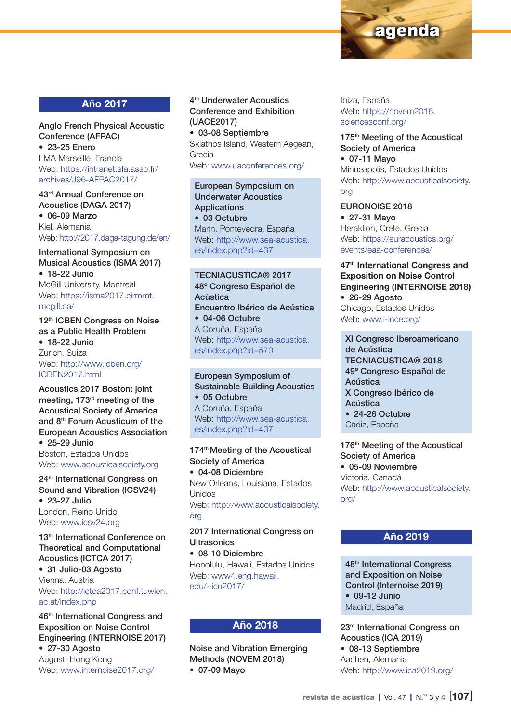

## Año 2017

Anglo French Physical Acoustic Conference (AFPAC) • 23-25 Enero LMA Marseille, Francia Web: [https://intranet.sfa.asso.fr/](https://intranet.sfa.asso.fr/archives/J96-AFPAC2017/)

[archives/J96-AFPAC2017/](https://intranet.sfa.asso.fr/archives/J96-AFPAC2017/)

43rd Annual Conference on Acoustics (DAGA 2017) • 06-09 Marzo Kiel, Alemania

Web:<http://2017.daga-tagung.de/en>/

#### International Symposium on Musical Acoustics (ISMA 2017) • 18-22 Junio McGill University, Montreal Web: [https://isma2017.cirmmt.](https://isma2017.cirmmt.mcgill.ca) [mcgill.ca](https://isma2017.cirmmt.mcgill.ca)/

12<sup>th</sup> ICBEN Congress on Noise as a Public Health Problem • 18-22 Junio Zurich, Suiza Web: [http://www.icben.org/](http://www.icben.org/ICBEN2017.html) [ICBEN2017.html](http://www.icben.org/ICBEN2017.html)

Acoustics 2017 Boston: joint meeting, 173rd meeting of the Acoustical Society of America and 8th Forum Acusticum of the European Acoustics Association

• 25-29 Junio Boston, Estados Unidos Web: [www.acousticalsociety.org](http://www.acousticalsociety.org)

24<sup>th</sup> International Congress on Sound and Vibration (ICSV24) • 23-27 Julio London, Reino Unido

Web: [www.icsv24.org](http://www.icsv24.org)

13<sup>th</sup> International Conference on Theoretical and Computational Acoustics (ICTCA 2017)

• 31 Julio-03 Agosto Vienna, Austria Web: [http://ictca2017.conf.tuwien.](http://ictca2017.conf.tuwien.ac.at/index.php) [ac.at/index.php](http://ictca2017.conf.tuwien.ac.at/index.php)

46th International Congress and Exposition on Noise Control Engineering (INTERNOISE 2017) • 27-30 Agosto August, Hong Kong Web: [www.internoise2017.org/](http://www.internoise2017.org)

4th Underwater Acoustics Conference and Exhibition (UACE2017) • 03-08 Septiembre Skiathos Island, Western Aegean, Grecia

Web: [www.uaconferences.org](http://www.uaconferences.org)/

European Symposium on Underwater Acoustics **Applications** • 03 Octubre Marín, Pontevedra, España Web: [http://www.sea-acustica.](http://www.sea-acustica.es/index.php?id=437) [es/index.php?id=437](http://www.sea-acustica.es/index.php?id=437)

#### TECNIACUSTICA® 2017 48º Congreso Español de **Acústica** Encuentro Ibérico de Acústica • 04-06 Octubre A Coruña, España Web: [http://www.sea-acustica.](http://www.sea-acustica.es/index.php?id=570) [es/index.php?id=570](http://www.sea-acustica.es/index.php?id=570)

European Symposium of Sustainable Building Acoustics • 05 Octubre A Coruña, España Web: [http://www.sea-acustica.](http://www.sea-acustica.es/index.php?id=437) [es/index.php?id=437](http://www.sea-acustica.es/index.php?id=437)

174<sup>th</sup> Meeting of the Acoustical Society of America • 04-08 Diciembre New Orleans, Louisiana, Estados Unidos Web: [http://www.acousticalsociety.](http://www.acousticalsociety.org) [org](http://www.acousticalsociety.org)

## 2017 International Congress on **Ultrasonics**

• 08-10 Diciembre Honolulu, Hawaii, Estados Unidos Web: [www4.eng.hawaii.](http://www4.eng.hawaii.edu/~icu2017/) [edu/~icu2017/](http://www4.eng.hawaii.edu/~icu2017/)

## Año 2018

Noise and Vibration Emerging Methods (NOVEM 2018) • 07-09 Mayo

Ibiza, España Web: [https://novem2018.](https://novem2018.sciencesconf.org) [sciencesconf.org](https://novem2018.sciencesconf.org)/

175<sup>th</sup> Meeting of the Acoustical Society of America • 07-11 Mayo Minneapolis, Estados Unidos Web: [http://www.acousticalsociety.](http://www.acousticalsociety.org) [org](http://www.acousticalsociety.org)

### EURONOISE 2018

• 27-31 Mayo Heraklion, Crete, Grecia Web: [https://euracoustics.org/](https://euracoustics.org/events/eaa-conferences/) [events/eaa-conferences/](https://euracoustics.org/events/eaa-conferences/)

47<sup>th</sup> International Congress and Exposition on Noise Control Engineering (INTERNOISE 2018) • 26-29 Agosto

Chicago, Estados Unidos Web: [www.i-ince.org/](http://www.i-ince.org)

XI Congreso Iberoamericano de Acústica TECNIACUSTICA® 2018 49º Congreso Español de Acústica X Congreso Ibérico de Acústica • 24-26 Octubre Cádiz, España

176<sup>th</sup> Meeting of the Acoustical Society of America • 05-09 Noviembre Victoria, Canadá Web: [http://www.acousticalsociety.](http://www.acousticalsociety.org) [org](http://www.acousticalsociety.org)/

## Año 2019

48th International Congress and Exposition on Noise Control (Internoise 2019) • 09-12 Junio Madrid, España

23rd International Congress on Acoustics (ICA 2019) • 08-13 Septiembre Aachen, Alemania Web: [http://www.ica2019.org/](http://www.ica2019.org)